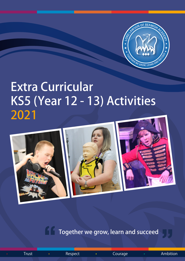

# Extra Curricular KS5 (Year 12 - 13) Activities 2021



Together we grow, learn and succeed

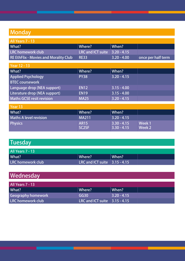## **Monday**

| All Years 7 - 13                             |                               |               |                    |
|----------------------------------------------|-------------------------------|---------------|--------------------|
| What?                                        | Where?                        | $\mid$ When?  |                    |
| LRC homework club                            | LRC and ICT suite 3.20 - 4.15 |               |                    |
| <b>RE EthFlix - Movies and Morality Club</b> | <b>RE33</b>                   | $3.20 - 4.00$ | once per half term |

| <b>Year 12 - 13</b>              |             |               |  |  |
|----------------------------------|-------------|---------------|--|--|
| What?                            | Where?      | When?         |  |  |
| <b>Applied Psychology</b>        | <b>PY38</b> | $3.20 - 4.15$ |  |  |
| <b>BTEC coursework</b>           |             |               |  |  |
| Language drop (NEA support)      | <b>EN12</b> | $3.15 - 4.00$ |  |  |
| Literature drop (NEA support)    | <b>EN19</b> | $3.15 - 4.00$ |  |  |
| <b>Maths GCSE resit revision</b> | <b>MA25</b> | $3.20 - 4.15$ |  |  |

| Year 13                       |                    |               |        |
|-------------------------------|--------------------|---------------|--------|
| What?                         | Where?             | When?         |        |
| <b>Maths A level revision</b> | <b>MA211</b>       | $3.20 - 4.15$ |        |
| <b>Physics</b>                | <b>AR15</b>        | $3.30 - 4.15$ | Week 1 |
|                               | SC <sub>2</sub> SF | $3.30 - 4.15$ | Week 2 |

## **Tuesday**

| <b>All Years 7 - 13</b> |                                       |       |  |
|-------------------------|---------------------------------------|-------|--|
| What?                   | <b>Where?</b>                         | When? |  |
| LRC homework club       | LRC and ICT suite $\vert$ 3.15 - 4.15 |       |  |

## **Wednesday**

| All Years 7 - 13   |                                       |               |  |
|--------------------|---------------------------------------|---------------|--|
| What?              | Where?                                | $\mid$ When?  |  |
| Geography homework | GG30                                  | $3.20 - 4.15$ |  |
| LRC homework club  | LRC and ICT suite $\vert$ 3.15 - 4.15 |               |  |